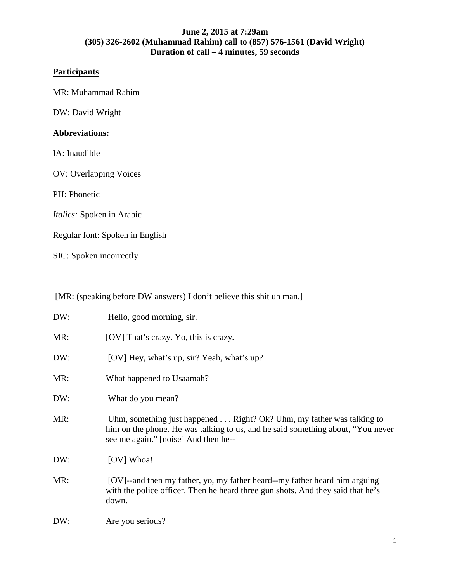# **Participants**

MR: Muhammad Rahim

DW: David Wright

## **Abbreviations:**

IA: Inaudible

OV: Overlapping Voices

PH: Phonetic

*Italics:* Spoken in Arabic

Regular font: Spoken in English

SIC: Spoken incorrectly

[MR: (speaking before DW answers) I don't believe this shit uh man.]

| DW: | Hello, good morning, sir.                                                                                                                                                                                |
|-----|----------------------------------------------------------------------------------------------------------------------------------------------------------------------------------------------------------|
| MR: | [OV] That's crazy. Yo, this is crazy.                                                                                                                                                                    |
| DW: | [OV] Hey, what's up, sir? Yeah, what's up?                                                                                                                                                               |
| MR: | What happened to Usaamah?                                                                                                                                                                                |
| DW: | What do you mean?                                                                                                                                                                                        |
| MR: | Uhm, something just happened $\dots$ Right? Ok? Uhm, my father was talking to<br>him on the phone. He was talking to us, and he said something about, "You never<br>see me again." [noise] And then he-- |
| DW: | [OV] Whoa!                                                                                                                                                                                               |
| MR: | [OV]--and then my father, yo, my father heard--my father heard him arguing<br>with the police officer. Then he heard three gun shots. And they said that he's<br>down.                                   |
| DW: | Are you serious?                                                                                                                                                                                         |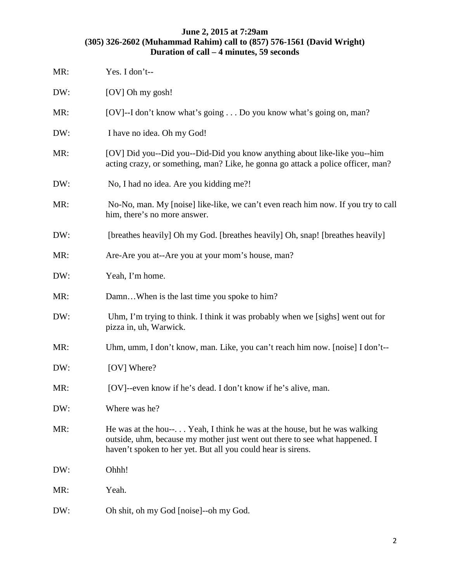| MR: | Yes. I don't--                                                                                                                                                                                                           |
|-----|--------------------------------------------------------------------------------------------------------------------------------------------------------------------------------------------------------------------------|
| DW: | [OV] Oh my gosh!                                                                                                                                                                                                         |
| MR: | [OV]--I don't know what's going Do you know what's going on, man?                                                                                                                                                        |
| DW: | I have no idea. Oh my God!                                                                                                                                                                                               |
| MR: | [OV] Did you--Did you--Did-Did you know anything about like-like you--him<br>acting crazy, or something, man? Like, he gonna go attack a police officer, man?                                                            |
| DW: | No, I had no idea. Are you kidding me?!                                                                                                                                                                                  |
| MR: | No-No, man. My [noise] like-like, we can't even reach him now. If you try to call<br>him, there's no more answer.                                                                                                        |
| DW: | [breathes heavily] Oh my God. [breathes heavily] Oh, snap! [breathes heavily]                                                                                                                                            |
| MR: | Are-Are you at--Are you at your mom's house, man?                                                                                                                                                                        |
| DW: | Yeah, I'm home.                                                                                                                                                                                                          |
| MR: | DamnWhen is the last time you spoke to him?                                                                                                                                                                              |
| DW: | Uhm, I'm trying to think. I think it was probably when we [sighs] went out for<br>pizza in, uh, Warwick.                                                                                                                 |
| MR: | Uhm, umm, I don't know, man. Like, you can't reach him now. [noise] I don't--                                                                                                                                            |
| DW: | [OV] Where?                                                                                                                                                                                                              |
| MR: | [OV]--even know if he's dead. I don't know if he's alive, man.                                                                                                                                                           |
| DW: | Where was he?                                                                                                                                                                                                            |
| MR: | He was at the hou-- Yeah, I think he was at the house, but he was walking<br>outside, uhm, because my mother just went out there to see what happened. I<br>haven't spoken to her yet. But all you could hear is sirens. |
| DW: | Ohhh!                                                                                                                                                                                                                    |
| MR: | Yeah.                                                                                                                                                                                                                    |
| DW: | Oh shit, oh my God [noise]--oh my God.                                                                                                                                                                                   |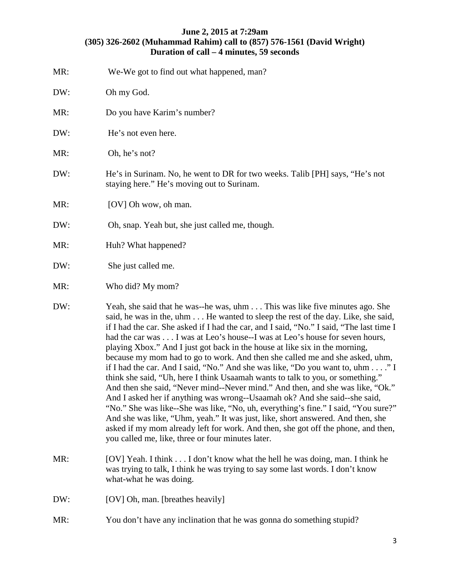| MR: | We-We got to find out what happened, man?                                                                                                                                                                                                                                                                                                                                                                                                                                                                                                                                                                                                                                                                                                                                                                                                                                                                                                                                                                                                                                                                                                                       |
|-----|-----------------------------------------------------------------------------------------------------------------------------------------------------------------------------------------------------------------------------------------------------------------------------------------------------------------------------------------------------------------------------------------------------------------------------------------------------------------------------------------------------------------------------------------------------------------------------------------------------------------------------------------------------------------------------------------------------------------------------------------------------------------------------------------------------------------------------------------------------------------------------------------------------------------------------------------------------------------------------------------------------------------------------------------------------------------------------------------------------------------------------------------------------------------|
| DW: | Oh my God.                                                                                                                                                                                                                                                                                                                                                                                                                                                                                                                                                                                                                                                                                                                                                                                                                                                                                                                                                                                                                                                                                                                                                      |
| MR: | Do you have Karim's number?                                                                                                                                                                                                                                                                                                                                                                                                                                                                                                                                                                                                                                                                                                                                                                                                                                                                                                                                                                                                                                                                                                                                     |
| DW: | He's not even here.                                                                                                                                                                                                                                                                                                                                                                                                                                                                                                                                                                                                                                                                                                                                                                                                                                                                                                                                                                                                                                                                                                                                             |
| MR: | Oh, he's not?                                                                                                                                                                                                                                                                                                                                                                                                                                                                                                                                                                                                                                                                                                                                                                                                                                                                                                                                                                                                                                                                                                                                                   |
| DW: | He's in Surinam. No, he went to DR for two weeks. Talib [PH] says, "He's not<br>staying here." He's moving out to Surinam.                                                                                                                                                                                                                                                                                                                                                                                                                                                                                                                                                                                                                                                                                                                                                                                                                                                                                                                                                                                                                                      |
| MR: | [OV] Oh wow, oh man.                                                                                                                                                                                                                                                                                                                                                                                                                                                                                                                                                                                                                                                                                                                                                                                                                                                                                                                                                                                                                                                                                                                                            |
| DW: | Oh, snap. Yeah but, she just called me, though.                                                                                                                                                                                                                                                                                                                                                                                                                                                                                                                                                                                                                                                                                                                                                                                                                                                                                                                                                                                                                                                                                                                 |
| MR: | Huh? What happened?                                                                                                                                                                                                                                                                                                                                                                                                                                                                                                                                                                                                                                                                                                                                                                                                                                                                                                                                                                                                                                                                                                                                             |
| DW: | She just called me.                                                                                                                                                                                                                                                                                                                                                                                                                                                                                                                                                                                                                                                                                                                                                                                                                                                                                                                                                                                                                                                                                                                                             |
| MR: | Who did? My mom?                                                                                                                                                                                                                                                                                                                                                                                                                                                                                                                                                                                                                                                                                                                                                                                                                                                                                                                                                                                                                                                                                                                                                |
| DW: | Yeah, she said that he was--he was, uhm This was like five minutes ago. She<br>said, he was in the, uhm He wanted to sleep the rest of the day. Like, she said,<br>if I had the car. She asked if I had the car, and I said, "No." I said, "The last time I<br>had the car was I was at Leo's house--I was at Leo's house for seven hours,<br>playing Xbox." And I just got back in the house at like six in the morning,<br>because my mom had to go to work. And then she called me and she asked, uhm,<br>if I had the car. And I said, "No." And she was like, "Do you want to, uhm" I<br>think she said, "Uh, here I think Usaamah wants to talk to you, or something."<br>And then she said, "Never mind--Never mind." And then, and she was like, "Ok."<br>And I asked her if anything was wrong--Usaamah ok? And she said--she said,<br>"No." She was like--She was like, "No, uh, everything's fine." I said, "You sure?"<br>And she was like, "Uhm, yeah." It was just, like, short answered. And then, she<br>asked if my mom already left for work. And then, she got off the phone, and then,<br>you called me, like, three or four minutes later. |
| MR: | [OV] Yeah. I think I don't know what the hell he was doing, man. I think he<br>was trying to talk, I think he was trying to say some last words. I don't know<br>what-what he was doing.                                                                                                                                                                                                                                                                                                                                                                                                                                                                                                                                                                                                                                                                                                                                                                                                                                                                                                                                                                        |
| DW: | [OV] Oh, man. [breathes heavily]                                                                                                                                                                                                                                                                                                                                                                                                                                                                                                                                                                                                                                                                                                                                                                                                                                                                                                                                                                                                                                                                                                                                |
| MR: | You don't have any inclination that he was gonna do something stupid?                                                                                                                                                                                                                                                                                                                                                                                                                                                                                                                                                                                                                                                                                                                                                                                                                                                                                                                                                                                                                                                                                           |